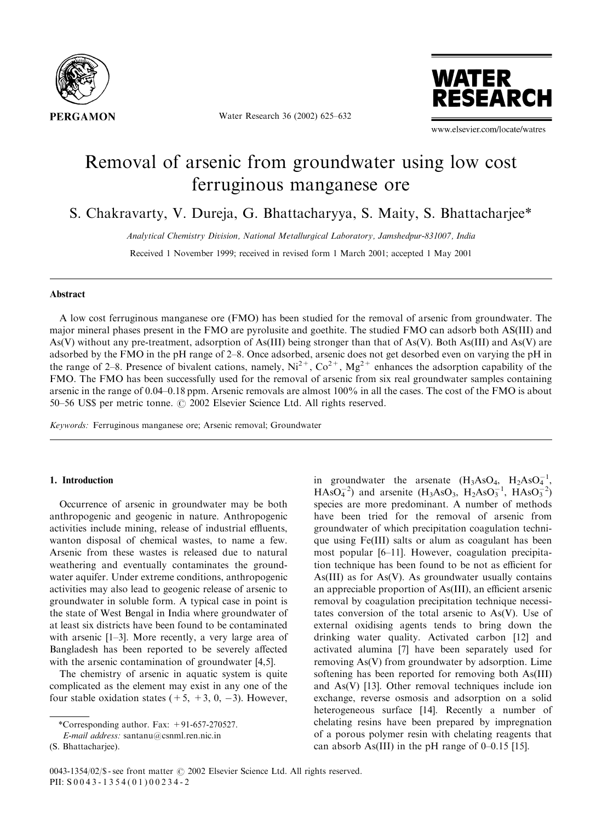

Water Research 36 (2002) 625–632



www.elsevier.com/locate/watres

# Removal of arsenic from groundwater using low cost ferruginous manganese ore

S. Chakravarty, V. Dureja, G. Bhattacharyya, S. Maity, S. Bhattacharjee\*

Analytical Chemistry Division, National Metallurgical Laboratory, Jamshedpur-831007, India

Received 1 November 1999; received in revised form 1 March 2001; accepted 1 May 2001

# Abstract

A low cost ferruginous manganese ore (FMO) has been studied for the removal of arsenic from groundwater. The major mineral phases present in the FMO are pyrolusite and goethite. The studied FMO can adsorb both AS(III) and As(V) without any pre-treatment, adsorption of As(III) being stronger than that of As(V). Both As(III) and As(V) are adsorbed by the FMO in the pH range of 2–8. Once adsorbed, arsenic does not get desorbed even on varying the pH in the range of 2–8. Presence of bivalent cations, namely,  $Ni^{2+}$ ,  $Co^{2+}$ ,  $Mg^{2+}$  enhances the adsorption capability of the FMO. The FMO has been successfully used for the removal of arsenic from six real groundwater samples containing arsenic in the range of 0.04–0.18 ppm. Arsenic removals are almost 100% in all the cases. The cost of the FMO is about 50–56 US\$ per metric tonne.  $\odot$  2002 Elsevier Science Ltd. All rights reserved.

Keywords: Ferruginous manganese ore; Arsenic removal; Groundwater

# 1. Introduction

Occurrence of arsenic in groundwater may be both anthropogenic and geogenic in nature. Anthropogenic activities include mining, release of industrial effluents, wanton disposal of chemical wastes, to name a few. Arsenic from these wastes is released due to natural weathering and eventually contaminates the groundwater aquifer. Under extreme conditions, anthropogenic activities may also lead to geogenic release of arsenic to groundwater in soluble form. A typical case in point is the state of West Bengal in India where groundwater of at least six districts have been found to be contaminated with arsenic [1–3]. More recently, a very large area of Bangladesh has been reported to be severely affected with the arsenic contamination of groundwater [4,5].

The chemistry of arsenic in aquatic system is quite complicated as the element may exist in any one of the four stable oxidation states  $(+5, +3, 0, -3)$ . However,

in groundwater the arsenate  $(H_3AsO_4, H_2AsO_4^{-1},$  $HAsO<sub>4</sub><sup>-2</sup>$  and arsenite  $(H<sub>3</sub>AsO<sub>3</sub>, H<sub>2</sub>AsO<sub>3</sub><sup>-1</sup>, HAsO<sub>3</sub><sup>-2</sup>)$ species are more predominant. A number of methods have been tried for the removal of arsenic from groundwater of which precipitation coagulation technique using Fe(III) salts or alum as coagulant has been most popular [6–11]. However, coagulation precipitation technique has been found to be not as efficient for As(III) as for As(V). As groundwater usually contains an appreciable proportion of As(III), an efficient arsenic removal by coagulation precipitation technique necessitates conversion of the total arsenic to As(V). Use of external oxidising agents tends to bring down the drinking water quality. Activated carbon [12] and activated alumina [7] have been separately used for removing As(V) from groundwater by adsorption. Lime softening has been reported for removing both As(III) and As(V) [13]. Other removal techniques include ion exchange, reverse osmosis and adsorption on a solid heterogeneous surface [14]. Recently a number of chelating resins have been prepared by impregnation of a porous polymer resin with chelating reagents that can absorb As(III) in the pH range of  $0-0.15$  [15].

<sup>\*</sup>Corresponding author. Fax:  $+91-657-270527$ .

E-mail address: santanu@csnml.ren.nic.in

<sup>(</sup>S. Bhattacharjee).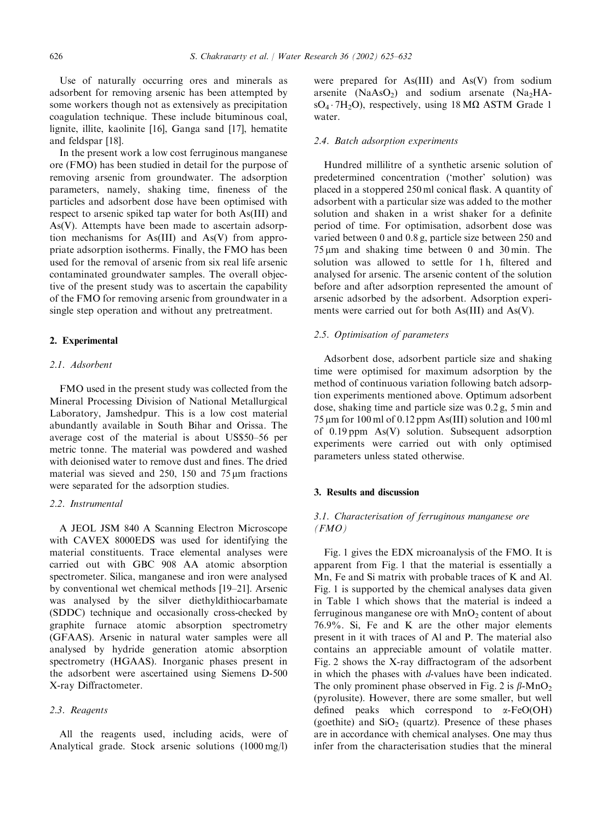Use of naturally occurring ores and minerals as adsorbent for removing arsenic has been attempted by some workers though not as extensively as precipitation coagulation technique. These include bituminous coal, lignite, illite, kaolinite [16], Ganga sand [17], hematite and feldspar [18].

In the present worka low cost ferruginous manganese ore (FMO) has been studied in detail for the purpose of removing arsenic from groundwater. The adsorption parameters, namely, shaking time, fineness of the particles and adsorbent dose have been optimised with respect to arsenic spiked tap water for both As(III) and As(V). Attempts have been made to ascertain adsorption mechanisms for As(III) and As(V) from appropriate adsorption isotherms. Finally, the FMO has been used for the removal of arsenic from six real life arsenic contaminated groundwater samples. The overall objective of the present study was to ascertain the capability of the FMO for removing arsenic from groundwater in a single step operation and without any pretreatment.

#### 2. Experimental

## 2.1. Adsorbent

FMO used in the present study was collected from the Mineral Processing Division of National Metallurgical Laboratory, Jamshedpur. This is a low cost material abundantly available in South Bihar and Orissa. The average cost of the material is about US\$50–56 per metric tonne. The material was powdered and washed with deionised water to remove dust and fines. The dried material was sieved and  $250$ , 150 and  $75 \,\mu m$  fractions were separated for the adsorption studies.

# 2.2. Instrumental

A JEOL JSM 840 A Scanning Electron Microscope with CAVEX 8000EDS was used for identifying the material constituents. Trace elemental analyses were carried out with GBC 908 AA atomic absorption spectrometer. Silica, manganese and iron were analysed by conventional wet chemical methods [19–21]. Arsenic was analysed by the silver diethyldithiocarbamate (SDDC) technique and occasionally cross-checked by graphite furnace atomic absorption spectrometry (GFAAS). Arsenic in natural water samples were all analysed by hydride generation atomic absorption spectrometry (HGAAS). Inorganic phases present in the adsorbent were ascertained using Siemens D-500 X-ray Diffractometer.

## 2.3. Reagents

All the reagents used, including acids, were of Analytical grade. Stock arsenic solutions  $(1000 \text{ mg/l})$ 

were prepared for As(III) and As(V) from sodium arsenite (NaAsO<sub>2</sub>) and sodium arsenate (Na<sub>2</sub>HA- $SO_4 \cdot 7H_2O$ , respectively, using 18 M $\Omega$  ASTM Grade 1 water.

#### 2.4. Batch adsorption experiments

Hundred millilitre of a synthetic arsenic solution of predetermined concentration ('mother' solution) was placed in a stoppered 250 ml conical flask. A quantity of adsorbent with a particular size was added to the mother solution and shaken in a wrist shaker for a definite period of time. For optimisation, adsorbent dose was varied between 0 and 0.8 g, particle size between 250 and  $75 \,\mu m$  and shaking time between 0 and 30 min. The solution was allowed to settle for 1h, filtered and analysed for arsenic. The arsenic content of the solution before and after adsorption represented the amount of arsenic adsorbed by the adsorbent. Adsorption experiments were carried out for both As(III) and As(V).

## 2.5. Optimisation of parameters

Adsorbent dose, adsorbent particle size and shaking time were optimised for maximum adsorption by the method of continuous variation following batch adsorption experiments mentioned above. Optimum adsorbent dose, shaking time and particle size was 0.2 g, 5 min and  $75 \mu m$  for 100 ml of 0.12 ppm As(III) solution and 100 ml of 0.19 ppm As(V) solution. Subsequent adsorption experiments were carried out with only optimised parameters unless stated otherwise.

# 3. Results and discussion

# 3.1. Characterisation of ferruginous manganese ore  $(FMO)$

Fig. 1 gives the EDX microanalysis of the FMO. It is apparent from Fig. 1 that the material is essentially a Mn, Fe and Si matrix with probable traces of K and Al. Fig. 1 is supported by the chemical analyses data given in Table 1 which shows that the material is indeed a ferruginous manganese ore with  $MnO<sub>2</sub>$  content of about 76.9%. Si, Fe and K are the other major elements present in it with traces of Al and P. The material also contains an appreciable amount of volatile matter. Fig. 2 shows the X-ray diffractogram of the adsorbent in which the phases with  $d$ -values have been indicated. The only prominent phase observed in Fig. 2 is  $\beta$ -MnO<sub>2</sub> (pyrolusite). However, there are some smaller, but well defined peaks which correspond to  $\alpha$ -FeO(OH) (goethite) and  $SiO<sub>2</sub>$  (quartz). Presence of these phases are in accordance with chemical analyses. One may thus infer from the characterisation studies that the mineral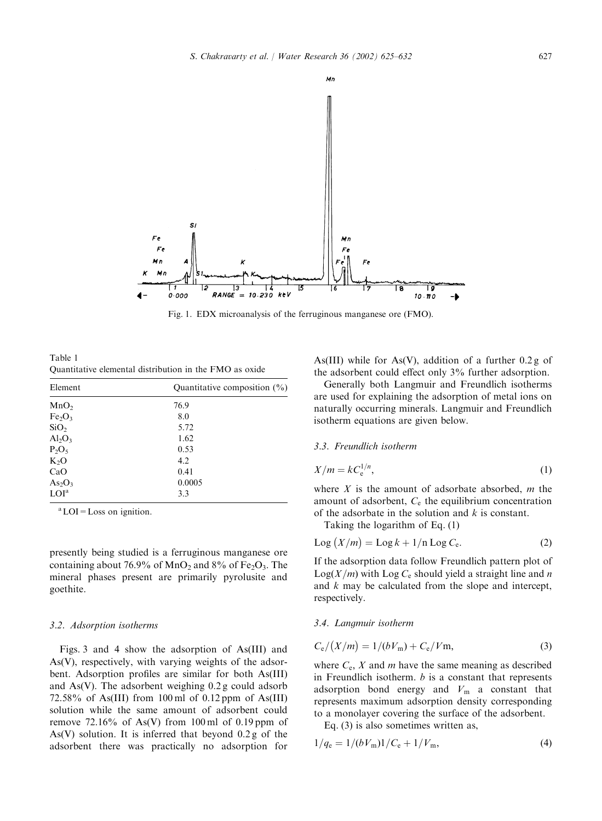

Fig. 1. EDX microanalysis of the ferruginous manganese ore (FMO).

Table 1 Quantitative elemental distribution in the FMO as oxide

| Element                        | Quantitative composition $(\% )$ |  |  |  |
|--------------------------------|----------------------------------|--|--|--|
| MnO <sub>2</sub>               | 76.9                             |  |  |  |
| Fe <sub>2</sub> O <sub>3</sub> | 8.0                              |  |  |  |
| SiO <sub>2</sub>               | 5.72                             |  |  |  |
| $Al_2O_3$                      | 1.62                             |  |  |  |
| $P_2O_5$                       | 0.53                             |  |  |  |
| $K_2O$                         | 4.2                              |  |  |  |
| CaO                            | 0.41                             |  |  |  |
| As <sub>2</sub> O <sub>3</sub> | 0.0005                           |  |  |  |
| LOI <sup>a</sup>               | 3.3                              |  |  |  |

<sup>a</sup> LOI = Loss on ignition.

presently being studied is a ferruginous manganese ore containing about 76.9% of MnO<sub>2</sub> and 8% of Fe<sub>2</sub>O<sub>3</sub>. The mineral phases present are primarily pyrolusite and goethite.

#### 3.2. Adsorption isotherms

Figs. 3 and 4 show the adsorption of As(III) and As(V), respectively, with varying weights of the adsorbent. Adsorption profiles are similar for both As(III) and As(V). The adsorbent weighing 0.2 g could adsorb 72.58% of As(III) from 100 ml of 0.12 ppm of As(III) solution while the same amount of adsorbent could remove  $72.16\%$  of As(V) from 100 ml of 0.19 ppm of As(V) solution. It is inferred that beyond  $0.2 g$  of the adsorbent there was practically no adsorption for

As(III) while for As(V), addition of a further  $0.2 g$  of the adsorbent could effect only 3% further adsorption.

Generally both Langmuir and Freundlich isotherms are used for explaining the adsorption of metal ions on naturally occurring minerals. Langmuir and Freundlich isotherm equations are given below.

## 3.3. Freundlich isotherm

$$
X/m = kC_e^{1/n},\tag{1}
$$

where  $X$  is the amount of adsorbate absorbed,  $m$  the amount of adsorbent,  $C_e$  the equilibrium concentration of the adsorbate in the solution and  $k$  is constant.

Taking the logarithm of Eq. (1)

$$
Log (X/m) = Log k + 1/n Log C_e.
$$
 (2)

If the adsorption data follow Freundlich pattern plot of  $Log(X/m)$  with  $Log C_e$  should yield a straight line and n and k may be calculated from the slope and intercept, respectively.

#### 3.4. Langmuir isotherm

$$
C_{\rm e}/(X/m) = 1/(bV_{\rm m}) + C_{\rm e}/V_{\rm m},\tag{3}
$$

where  $C_e$ ,  $X$  and  $m$  have the same meaning as described in Freundlich isotherm.  $b$  is a constant that represents adsorption bond energy and  $V_m$  a constant that represents maximum adsorption density corresponding to a monolayer covering the surface of the adsorbent.

Eq. (3) is also sometimes written as,

$$
1/q_e = 1/(bV_m)1/C_e + 1/V_m,
$$
\n(4)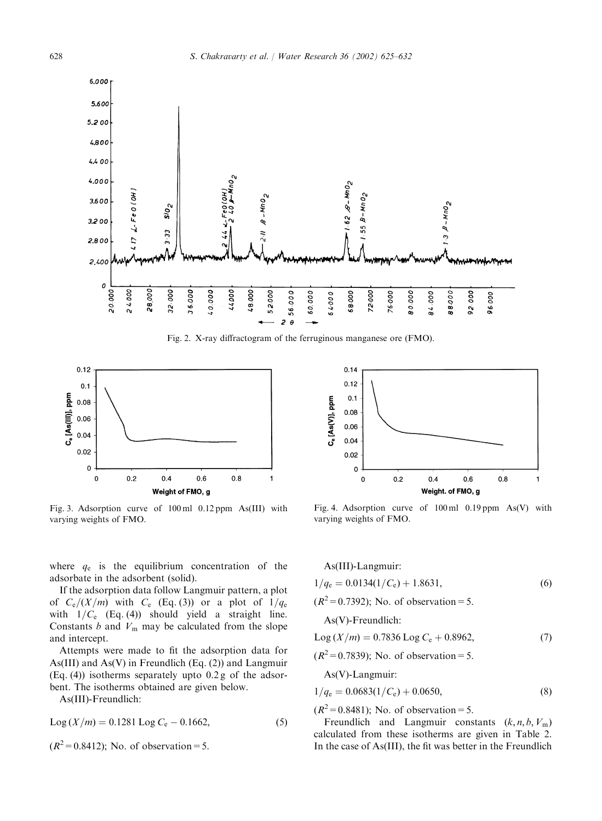

Fig. 2. X-ray diffractogram of the ferruginous manganese ore (FMO).



Fig. 3. Adsorption curve of 100 ml 0.12 ppm As(III) with varying weights of FMO.



If the adsorption data follow Langmuir pattern, a plot of  $C_e/(X/m)$  with  $C_e$  (Eq. (3)) or a plot of  $1/q_e$ with  $1/C_e$  (Eq. (4)) should yield a straight line. Constants  $b$  and  $V_m$  may be calculated from the slope and intercept.

Attempts were made to fit the adsorption data for As(III) and As(V) in Freundlich (Eq. (2)) and Langmuir (Eq. (4)) isotherms separately upto 0.2 g of the adsorbent. The isotherms obtained are given below.

As(III)-Freundlich:

 $\text{Log}(X/m) = 0.1281 \text{ Log } C_e - 0.1662,$  (5)

 $(R^2 = 0.8412)$ ; No. of observation = 5.



Fig. 4. Adsorption curve of 100 ml 0.19 ppm As(V) with varying weights of FMO.

| $As(III)$ -Langmuir:                       |     |
|--------------------------------------------|-----|
| $1/q_e = 0.0134(1/C_e) + 1.8631,$          | (6) |
| $(R^2 = 0.7392)$ ; No. of observation = 5. |     |

As(V)-Freundlich:

$$
Log (X/m) = 0.7836 Log Ce + 0.8962,
$$
 (7)

 $(R^2 = 0.7839)$ ; No. of observation = 5.

As(V)-Langmuir:

$$
1/q_e = 0.0683(1/C_e) + 0.0650,
$$
\n(8)

 $(R^2 = 0.8481)$ ; No. of observation = 5.

Freundlich and Langmuir constants  $(k, n, b, V<sub>m</sub>)$ calculated from these isotherms are given in Table 2. In the case of As(III), the fit was better in the Freundlich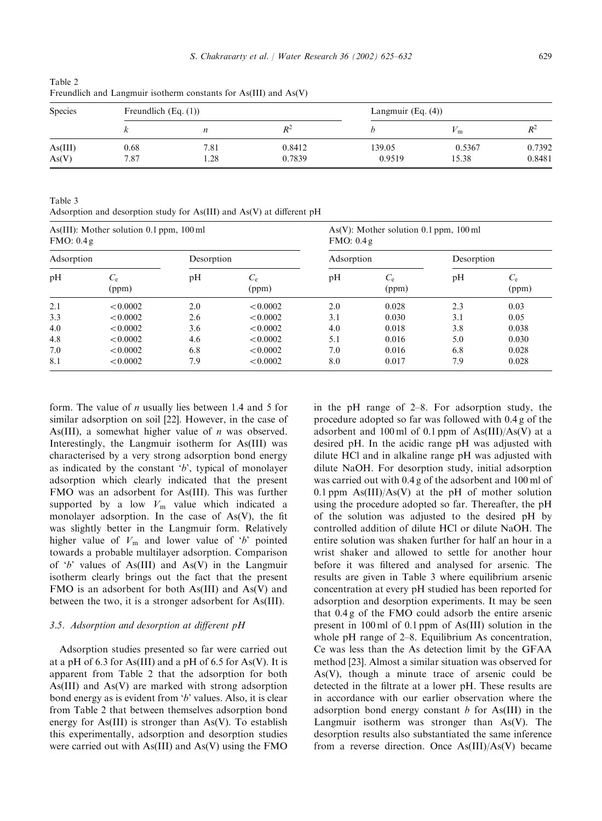| <b>Species</b>   | Freundlich $(Eq. (1))$ |                  |                  | Langmuir $(Eq. (4))$ |                 |                  |
|------------------|------------------------|------------------|------------------|----------------------|-----------------|------------------|
|                  |                        | $\boldsymbol{n}$ | $R^2$            |                      | ™ ™             | $R^2$            |
| As(III)<br>As(V) | 0.68<br>7.87           | 7.81<br>.28      | 0.8412<br>0.7839 | 139.05<br>0.9519     | 0.5367<br>15.38 | 0.7392<br>0.8481 |

Table 2 Freundlich and Langmuir isotherm constants for As(III) and As(V)

Table 3 Adsorption and desorption study for As(III) and As(V) at different pH

| As $(III)$ : Mother solution 0.1 ppm, 100 ml<br>FMO: 0.4g |                      |            |                      | As(V): Mother solution $0.1$ ppm, $100$ ml<br>FMO: 0.4g |                      |            |                      |  |
|-----------------------------------------------------------|----------------------|------------|----------------------|---------------------------------------------------------|----------------------|------------|----------------------|--|
| Adsorption                                                |                      | Desorption |                      | Adsorption                                              |                      | Desorption |                      |  |
| pH                                                        | $C_{\rm e}$<br>(ppm) | pH         | $C_{\rm e}$<br>(ppm) | pH                                                      | $C_{\rm e}$<br>(ppm) | pH         | $C_{\rm e}$<br>(ppm) |  |
| 2.1                                                       | < 0.0002             | 2.0        | < 0.0002             | 2.0                                                     | 0.028                | 2.3        | 0.03                 |  |
| 3.3                                                       | < 0.0002             | 2.6        | < 0.0002             | 3.1                                                     | 0.030                | 3.1        | 0.05                 |  |
| 4.0                                                       | < 0.0002             | 3.6        | < 0.0002             | 4.0                                                     | 0.018                | 3.8        | 0.038                |  |
| 4.8                                                       | < 0.0002             | 4.6        | < 0.0002             | 5.1                                                     | 0.016                | 5.0        | 0.030                |  |
| 7.0                                                       | < 0.0002             | 6.8        | < 0.0002             | 7.0                                                     | 0.016                | 6.8        | 0.028                |  |
| 8.1                                                       | < 0.0002             | 7.9        | < 0.0002             | 8.0                                                     | 0.017                | 7.9        | 0.028                |  |

form. The value of n usually lies between 1.4 and 5 for similar adsorption on soil [22]. However, in the case of As(III), a somewhat higher value of  $n$  was observed. Interestingly, the Langmuir isotherm for As(III) was characterised by a very strong adsorption bond energy as indicated by the constant  $b'$ , typical of monolayer adsorption which clearly indicated that the present FMO was an adsorbent for As(III). This was further supported by a low  $V_m$  value which indicated a monolayer adsorption. In the case of  $As(V)$ , the fit was slightly better in the Langmuir form. Relatively higher value of  $V_m$  and lower value of 'b' pointed towards a probable multilayer adsorption. Comparison of  $b'$  values of As(III) and As(V) in the Langmuir isotherm clearly brings out the fact that the present FMO is an adsorbent for both As(III) and As(V) and between the two, it is a stronger adsorbent for As(III).

## 3.5. Adsorption and desorption at different pH

Adsorption studies presented so far were carried out at a pH of 6.3 for As(III) and a pH of 6.5 for As(V). It is apparent from Table 2 that the adsorption for both As(III) and As(V) are marked with strong adsorption bond energy as is evident from 'b' values. Also, it is clear from Table 2 that between themselves adsorption bond energy for As(III) is stronger than  $As(V)$ . To establish this experimentally, adsorption and desorption studies were carried out with As(III) and As(V) using the FMO

in the pH range of 2–8. For adsorption study, the procedure adopted so far was followed with 0.4 g of the adsorbent and 100 ml of 0.1 ppm of  $As(III)/As(V)$  at a desired pH. In the acidic range pH was adjusted with dilute HCl and in alkaline range pH was adjusted with dilute NaOH. For desorption study, initial adsorption was carried out with 0.4 g of the adsorbent and 100 ml of 0.1 ppm  $As(III)/As(V)$  at the pH of mother solution using the procedure adopted so far. Thereafter, the pH of the solution was adjusted to the desired pH by controlled addition of dilute HCl or dilute NaOH. The entire solution was shaken further for half an hour in a wrist shaker and allowed to settle for another hour before it was filtered and analysed for arsenic. The results are given in Table 3 where equilibrium arsenic concentration at every pH studied has been reported for adsorption and desorption experiments. It may be seen that 0.4 g of the FMO could adsorb the entire arsenic present in 100 ml of 0.1 ppm of As(III) solution in the whole pH range of 2–8. Equilibrium As concentration, Ce was less than the As detection limit by the GFAA method [23]. Almost a similar situation was observed for As(V), though a minute trace of arsenic could be detected in the filtrate at a lower pH. These results are in accordance with our earlier observation where the adsorption bond energy constant  $b$  for As(III) in the Langmuir isotherm was stronger than As(V). The desorption results also substantiated the same inference from a reverse direction. Once As(III)/As(V) became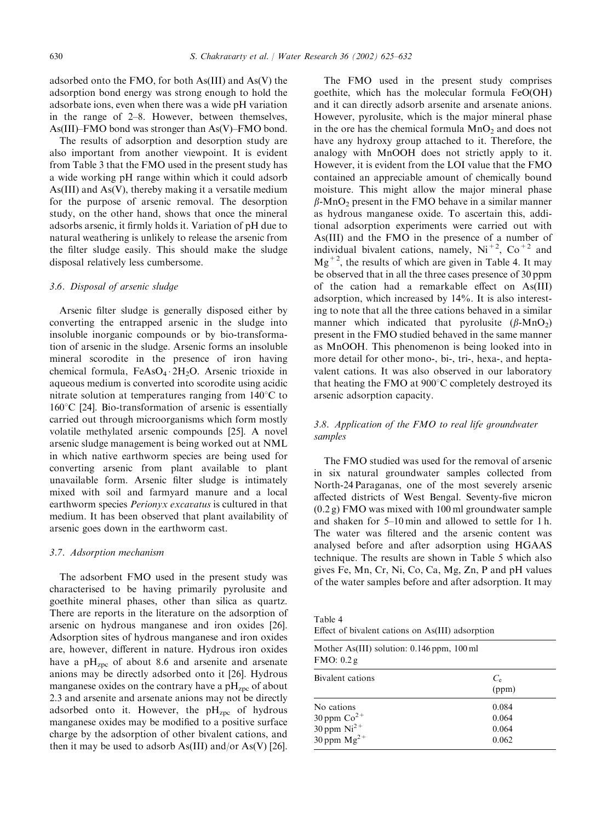adsorbed onto the FMO, for both As(III) and As(V) the adsorption bond energy was strong enough to hold the adsorbate ions, even when there was a wide pH variation in the range of 2–8. However, between themselves, As(III)–FMO bond was stronger than As(V)–FMO bond.

The results of adsorption and desorption study are also important from another viewpoint. It is evident from Table 3 that the FMO used in the present study has a wide working pH range within which it could adsorb As(III) and As(V), thereby making it a versatile medium for the purpose of arsenic removal. The desorption study, on the other hand, shows that once the mineral adsorbs arsenic, it firmly holds it. Variation of pH due to natural weathering is unlikely to release the arsenic from the filter sludge easily. This should make the sludge disposal relatively less cumbersome.

## 3.6. Disposal of arsenic sludge

Arsenic filter sludge is generally disposed either by converting the entrapped arsenic in the sludge into insoluble inorganic compounds or by bio-transformation of arsenic in the sludge. Arsenic forms an insoluble mineral scorodite in the presence of iron having chemical formula, FeAsO<sub>4</sub> 2H<sub>2</sub>O. Arsenic trioxide in aqueous medium is converted into scorodite using acidic nitrate solution at temperatures ranging from  $140^{\circ}$ C to  $160^{\circ}$ C [24]. Bio-transformation of arsenic is essentially carried out through microorganisms which form mostly volatile methylated arsenic compounds [25]. A novel arsenic sludge management is being worked out at NML in which native earthworm species are being used for converting arsenic from plant available to plant unavailable form. Arsenic filter sludge is intimately mixed with soil and farmyard manure and a local earthworm species Perionyx excavatus is cultured in that medium. It has been observed that plant availability of arsenic goes down in the earthworm cast.

#### 3.7. Adsorption mechanism

The adsorbent FMO used in the present study was characterised to be having primarily pyrolusite and goethite mineral phases, other than silica as quartz. There are reports in the literature on the adsorption of arsenic on hydrous manganese and iron oxides [26]. Adsorption sites of hydrous manganese and iron oxides are, however, different in nature. Hydrous iron oxides have a pH<sub>zpc</sub> of about 8.6 and arsenite and arsenate anions may be directly adsorbed onto it [26]. Hydrous manganese oxides on the contrary have a  $pH<sub>zpc</sub>$  of about 2.3 and arsenite and arsenate anions may not be directly adsorbed onto it. However, the  $pH<sub>zpc</sub>$  of hydrous manganese oxides may be modified to a positive surface charge by the adsorption of other bivalent cations, and then it may be used to adsorb As(III) and/or As(V) [26].

The FMO used in the present study comprises goethite, which has the molecular formula FeO(OH) and it can directly adsorb arsenite and arsenate anions. However, pyrolusite, which is the major mineral phase in the ore has the chemical formula  $MnO<sub>2</sub>$  and does not have any hydroxy group attached to it. Therefore, the analogy with MnOOH does not strictly apply to it. However, it is evident from the LOI value that the FMO contained an appreciable amount of chemically bound moisture. This might allow the major mineral phase  $\beta$ -MnO<sub>2</sub> present in the FMO behave in a similar manner as hydrous manganese oxide. To ascertain this, additional adsorption experiments were carried out with As(III) and the FMO in the presence of a number of individual bivalent cations, namely,  $Ni<sup>+2</sup>, Co<sup>+2</sup>$  and  $Mg^{+2}$ , the results of which are given in Table 4. It may be observed that in all the three cases presence of 30 ppm of the cation had a remarkable effect on As(III) adsorption, which increased by 14%. It is also interesting to note that all the three cations behaved in a similar manner which indicated that pyrolusite  $(\beta-MnO_2)$ present in the FMO studied behaved in the same manner as MnOOH. This phenomenon is being looked into in more detail for other mono-, bi-, tri-, hexa-, and heptavalent cations. It was also observed in our laboratory that heating the FMO at  $900^{\circ}$ C completely destroyed its arsenic adsorption capacity.

# 3.8. Application of the FMO to real life groundwater samples

The FMO studied was used for the removal of arsenic in six natural groundwater samples collected from North-24 Paraganas, one of the most severely arsenic affected districts of West Bengal. Seventy-five micron (0.2 g) FMO was mixed with 100 ml groundwater sample and shaken for 5–10 min and allowed to settle for 1 h. The water was filtered and the arsenic content was analysed before and after adsorption using HGAAS technique. The results are shown in Table 5 which also gives Fe, Mn, Cr, Ni, Co, Ca, Mg, Zn, P and pH values of the water samples before and after adsorption. It may

Table 4 Effect of bivalent cations on As(III) adsorption

| Mother As(III) solution: $0.146$ ppm, $100$ ml<br>FMO: 0.2g |                      |  |  |  |
|-------------------------------------------------------------|----------------------|--|--|--|
| Bivalent cations                                            | $C_{\rm e}$<br>(ppm) |  |  |  |
| No cations                                                  | 0.084                |  |  |  |
| 30 ppm $Co^{2+}$                                            | 0.064                |  |  |  |
| $30$ ppm $Ni2+$                                             | 0.064                |  |  |  |
| $30 \text{ ppm} \text{ Mg}^{2+}$                            | 0.062                |  |  |  |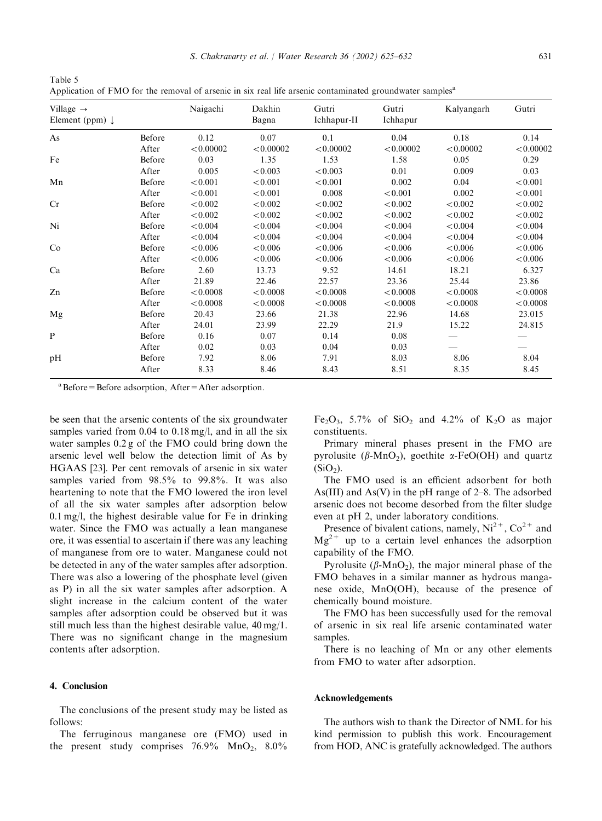| ٩             | ٠           |  |
|---------------|-------------|--|
| ۰.<br>×<br>۰. | I<br>$\sim$ |  |

Table 5 Application of FMO for the removal of arsenic in six real life arsenic contaminated groundwater samples<sup>a</sup>

| Village $\rightarrow$<br>Element (ppm) $\downarrow$ |        | Naigachi  | Dakhin<br>Bagna | Gutri<br>Ichhapur-II | Gutri<br>Ichhapur | Kalyangarh | Gutri     |
|-----------------------------------------------------|--------|-----------|-----------------|----------------------|-------------------|------------|-----------|
| As                                                  | Before | 0.12      | 0.07            | 0.1                  | 0.04              | 0.18       | 0.14      |
|                                                     | After  | < 0.00002 | < 0.00002       | < 0.00002            | < 0.00002         | < 0.00002  | < 0.00002 |
| Fe                                                  | Before | 0.03      | 1.35            | 1.53                 | 1.58              | 0.05       | 0.29      |
|                                                     | After  | 0.005     | < 0.003         | < 0.003              | 0.01              | 0.009      | 0.03      |
| Mn                                                  | Before | < 0.001   | < 0.001         | < 0.001              | 0.002             | 0.04       | < 0.001   |
|                                                     | After  | < 0.001   | < 0.001         | 0.008                | < 0.001           | 0.002      | < 0.001   |
| Cr                                                  | Before | < 0.002   | < 0.002         | < 0.002              | < 0.002           | < 0.002    | < 0.002   |
|                                                     | After  | < 0.002   | < 0.002         | < 0.002              | < 0.002           | < 0.002    | < 0.002   |
| Ni                                                  | Before | < 0.004   | < 0.004         | < 0.004              | < 0.004           | < 0.004    | < 0.004   |
|                                                     | After  | < 0.004   | < 0.004         | < 0.004              | < 0.004           | < 0.004    | < 0.004   |
| Co                                                  | Before | < 0.006   | < 0.006         | < 0.006              | < 0.006           | < 0.006    | < 0.006   |
|                                                     | After  | < 0.006   | < 0.006         | < 0.006              | < 0.006           | < 0.006    | < 0.006   |
| Ca                                                  | Before | 2.60      | 13.73           | 9.52                 | 14.61             | 18.21      | 6.327     |
|                                                     | After  | 21.89     | 22.46           | 22.57                | 23.36             | 25.44      | 23.86     |
| Zn                                                  | Before | < 0.0008  | < 0.0008        | < 0.0008             | < 0.0008          | < 0.0008   | < 0.0008  |
|                                                     | After  | < 0.0008  | < 0.0008        | < 0.0008             | < 0.0008          | < 0.0008   | < 0.0008  |
| Mg                                                  | Before | 20.43     | 23.66           | 21.38                | 22.96             | 14.68      | 23.015    |
|                                                     | After  | 24.01     | 23.99           | 22.29                | 21.9              | 15.22      | 24.815    |
| P                                                   | Before | 0.16      | 0.07            | 0.14                 | 0.08              |            |           |
|                                                     | After  | 0.02      | 0.03            | 0.04                 | 0.03              |            |           |
| pH                                                  | Before | 7.92      | 8.06            | 7.91                 | 8.03              | 8.06       | 8.04      |
|                                                     | After  | 8.33      | 8.46            | 8.43                 | 8.51              | 8.35       | 8.45      |

 $a$ Before=Before adsorption, After=After adsorption.

be seen that the arsenic contents of the six groundwater samples varied from 0.04 to 0.18 mg/l, and in all the six water samples 0.2 g of the FMO could bring down the arsenic level well below the detection limit of As by HGAAS [23]. Per cent removals of arsenic in six water samples varied from 98.5% to 99.8%. It was also heartening to note that the FMO lowered the iron level of all the six water samples after adsorption below 0.1 mg/l, the highest desirable value for Fe in drinking water. Since the FMO was actually a lean manganese ore, it was essential to ascertain if there was any leaching of manganese from ore to water. Manganese could not be detected in any of the water samples after adsorption. There was also a lowering of the phosphate level (given as P) in all the six water samples after adsorption. A slight increase in the calcium content of the water samples after adsorption could be observed but it was still much less than the highest desirable value, 40 mg/1. There was no significant change in the magnesium contents after adsorption.

# 4. Conclusion

The conclusions of the present study may be listed as follows:

The ferruginous manganese ore (FMO) used in the present study comprises  $76.9\%$  MnO<sub>2</sub>,  $8.0\%$ 

Fe<sub>2</sub>O<sub>3</sub>, 5.7% of SiO<sub>2</sub> and 4.2% of K<sub>2</sub>O as major constituents.

Primary mineral phases present in the FMO are pyrolusite ( $\beta$ -MnO<sub>2</sub>), goethite  $\alpha$ -FeO(OH) and quartz  $(SiO<sub>2</sub>)$ .

The FMO used is an efficient adsorbent for both As(III) and As(V) in the pH range of 2–8. The adsorbed arsenic does not become desorbed from the filter sludge even at pH 2, under laboratory conditions.

Presence of bivalent cations, namely,  $Ni^{2+}$ ,  $Co^{2+}$  and  $Mg^{2+}$  up to a certain level enhances the adsorption capability of the FMO.

Pyrolusite ( $\beta$ -MnO<sub>2</sub>), the major mineral phase of the FMO behaves in a similar manner as hydrous manganese oxide, MnO(OH), because of the presence of chemically bound moisture.

The FMO has been successfully used for the removal of arsenic in six real life arsenic contaminated water samples.

There is no leaching of Mn or any other elements from FMO to water after adsorption.

#### Acknowledgements

The authors wish to thank the Director of NML for his kind permission to publish this work. Encouragement from HOD, ANC is gratefully acknowledged. The authors